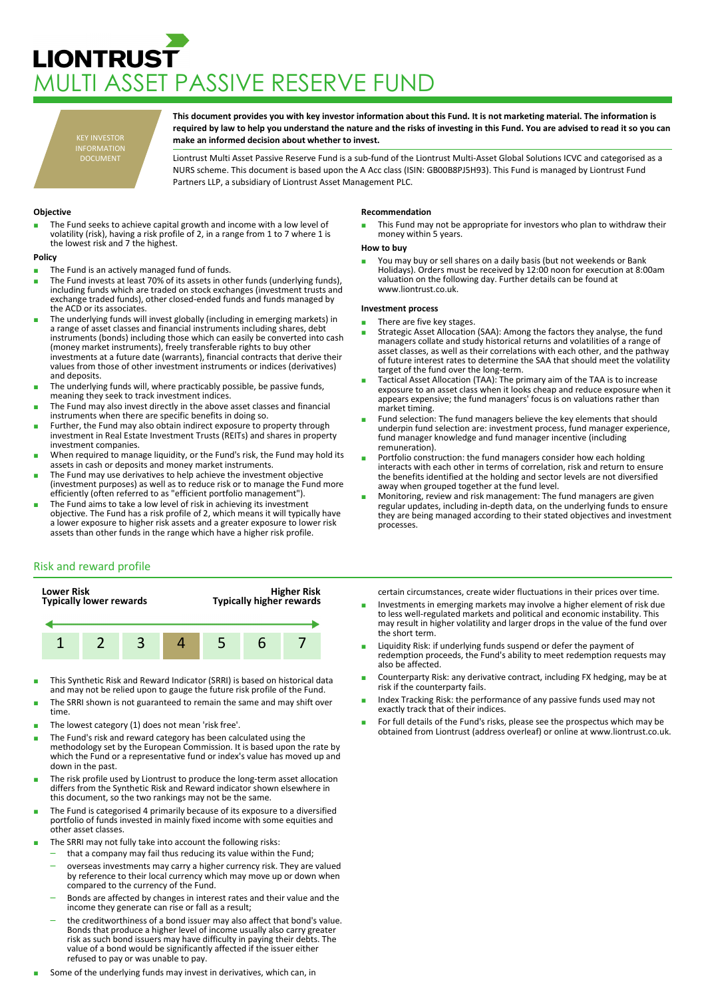# **LIONTRUST** MULTI ASSET PASSIVE RESERVE FUND

KEY INVESTOR INFORMATION DOCUMENT

**This document provides you with key investor information about this Fund. It is not marketing material. The information is required by law to help you understand the nature and the risks of investing in this Fund. You are advised to read it so you can make an informed decision about whether to invest.**

Liontrust Multi Asset Passive Reserve Fund is a sub-fund of the Liontrust Multi-Asset Global Solutions ICVC and categorised as a NURS scheme. This document is based upon the A Acc class (ISIN: GB00B8PJ5H93). This Fund is managed by Liontrust Fund Partners LLP, a subsidiary of Liontrust Asset Management PLC.

# **Objective**

The Fund seeks to achieve capital growth and income with a low level of volatility (risk), having a risk profile of 2, in a range from 1 to 7 where 1 is the lowest risk and 7 the highest.

## **Policy**

- The Fund is an actively managed fund of funds.
- The Fund invests at least 70% of its assets in other funds (underlying funds), including funds which are traded on stock exchanges (investment trusts and exchange traded funds), other closed-ended funds and funds managed by the ACD or its associates.
- The underlying funds will invest globally (including in emerging markets) in a range of asset classes and financial instruments including shares, debt instruments (bonds) including those which can easily be converted into cash (money market instruments), freely transferable rights to buy other investments at a future date (warrants), financial contracts that derive their values from those of other investment instruments or indices (derivatives) and deposits.
- The underlying funds will, where practicably possible, be passive funds, meaning they seek to track investment indices.
- The Fund may also invest directly in the above asset classes and financial instruments when there are specific benefits in doing so.
- Further, the Fund may also obtain indirect exposure to property through investment in Real Estate Investment Trusts (REITs) and shares in property investment companies.
- When required to manage liquidity, or the Fund's risk, the Fund may hold its assets in cash or deposits and money market instruments.
- The Fund may use derivatives to help achieve the investment objective (investment purposes) as well as to reduce risk or to manage the Fund more efficiently (often referred to as "efficient portfolio management").
- The Fund aims to take a low level of risk in achieving its investment objective. The Fund has a risk profile of 2, which means it will typically have a lower exposure to higher risk assets and a greater exposure to lower risk assets than other funds in the range which have a higher risk profile.

### **Recommendation**

This Fund may not be appropriate for investors who plan to withdraw their money within 5 years.

### **How to buy**

■ You may buy or sell shares on a daily basis (but not weekends or Bank<br>Holidays). Orders must be received by 12:00 noon for execution at 8:00am valuation on the following day. Further details can be found at www.liontrust.co.uk.

## **Investment process**

- There are five key stages.
- Strategic Asset Allocation (SAA): Among the factors they analyse, the fund managers collate and study historical returns and volatilities of a range of asset classes, as well as their correlations with each other, and the pathway of future interest rates to determine the SAA that should meet the volatility target of the fund over the long-term.
- Tactical Asset Allocation (TAA): The primary aim of the TAA is to increase exposure to an asset class when it looks cheap and reduce exposure when it appears expensive; the fund managers' focus is on valuations rather than market timing.
- Fund selection: The fund managers believe the key elements that should underpin fund selection are: investment process, fund manager experience, fund manager knowledge and fund manager incentive (including remuneration).
- Portfolio construction: the fund managers consider how each holding interacts with each other in terms of correlation, risk and return to ensure the benefits identified at the holding and sector levels are not diversified away when grouped together at the fund level.
- Monitoring, review and risk management: The fund managers are given regular updates, including in-depth data, on the underlying funds to ensure they are being managed according to their stated objectives and investment processes.

# Risk and reward profile



- This Synthetic Risk and Reward Indicator (SRRI) is based on historical data and may not be relied upon to gauge the future risk profile of the Fund.
- The SRRI shown is not guaranteed to remain the same and may shift over time.
- The lowest category (1) does not mean 'risk free'.
- The Fund's risk and reward category has been calculated using the methodology set by the European Commission. It is based upon the rate by which the Fund or a representative fund or index's value has moved up and down in the past.
- The risk profile used by Liontrust to produce the long-term asset allocation differs from the Synthetic Risk and Reward indicator shown elsewhere in this document, so the two rankings may not be the same.
- The Fund is categorised 4 primarily because of its exposure to a diversified portfolio of funds invested in mainly fixed income with some equities and other asset classes.
- The SRRI may not fully take into account the following risks:
	- that a company may fail thus reducing its value within the Fund;
	- overseas investments may carry a higher currency risk. They are valued by reference to their local currency which may move up or down when compared to the currency of the Fund.
	- Bonds are affected by changes in interest rates and their value and the income they generate can rise or fall as a result;
	- the creditworthiness of a bond issuer may also affect that bond's value. Bonds that produce a higher level of income usually also carry greater risk as such bond issuers may have difficulty in paying their debts. The value of a bond would be significantly affected if the issuer either refused to pay or was unable to pay.
- Some of the underlying funds may invest in derivatives, which can, in

certain circumstances, create wider fluctuations in their prices over time.

- Investments in emerging markets may involve a higher element of risk due to less well-regulated markets and political and economic instability. This may result in higher volatility and larger drops in the value of the fund over the short term.
- Liquidity Risk: if underlying funds suspend or defer the payment of redemption proceeds, the Fund's ability to meet redemption requests may also be affected.
- Counterparty Risk: any derivative contract, including FX hedging, may be at risk if the counterparty fails.
- Index Tracking Risk: the performance of any passive funds used may not exactly track that of their indices.
- For full details of the Fund's risks, please see the prospectus which may be obtained from Liontrust (address overleaf) or online at www.liontrust.co.uk.